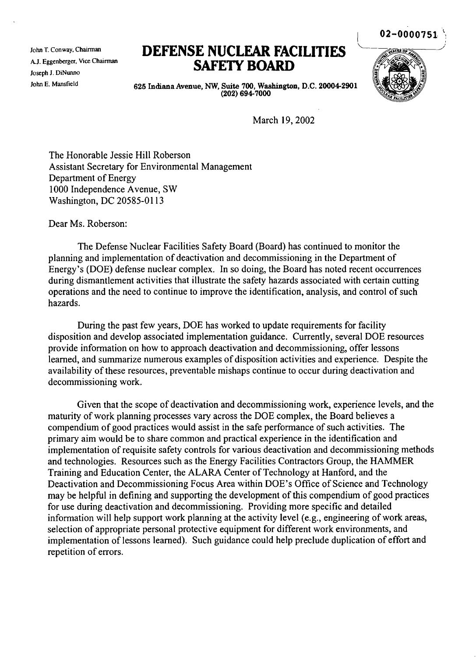John T. Conway. Chairman A.J. Eggenberger, Vice Chairman Joseph J. DiNwmo John E. Mansfield

# **DEFENSE NUCLEAR FACILITIES SAFElY BOARD**



02-0000751

625 Indiana Avenue, NW, Suite 700, Washington, D.C. 20004-2901 (202) 694-7000

March 19,2002

The Honorable Jessie Hill Roberson Assistant Secretary for Environmental Management Department of Energy 1000 Independence Avenue, SW Washington, DC 20585-0113

Dear Ms. Roberson:

The Defense Nuclear Facilities Safety Board (Board) has continued to monitor the planning and implementation of deactivation and decommissioning in the Department of Energy's (DOE) defense nuclear complex. In so doing, the Board has noted recent occurrences during dismantlement activities that illustrate the safety hazards associated with certain cutting operations and the need to continue to improve the identification, analysis, and control of such hazards.

During the past few years, DOE has worked to update requirements for facility disposition and develop associated implementation guidance. Currently, several DOE resources provide information on how to approach deactivation and decommissioning, offer lessons learned, and summarize numerous examples of disposition activities and experience. Despite the availability of these resources, preventable mishaps continue to occur during deactivation and decommissioning work.

Given that the scope of deactivation and decommissioning work, experience levels, and the maturity of work planning processes vary across the DOE complex, the Board believes a compendium of good practices would assist in the safe performance of such activities. The primary aim would be to share common and practical experience in the identification and implementation of requisite safety controls for various deactivation and decommissioning methods and technologies. Resources such as the Energy Facilities Contractors Group, the HAMMER Training and Education Center, the ALARA Center of Technology at Hanford, and the Deactivation and Decommissioning Focus Area within DOE's Office of Science and Technology may be helpful in defining and supporting the development of this compendium of good practices for use during deactivation and decommissioning. Providing more specific and detailed information will help support work planning at the activity level (e.g., engineering of work areas, selection of appropriate personal protective equipment for different work environments, and implementation of lessons learned). Such guidance could help preclude duplication of effort and repetition of errors.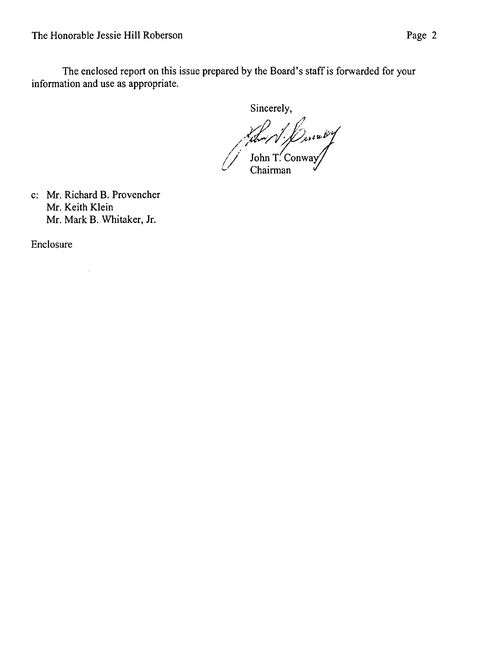The enclosed report on this issue prepared by the Board's staff is forwarded for your information and use as appropriate.

Sincerely,

/1/2011 /<br>/ John T. Conway Chairman

c: Mr. Richard B. Provencher Mr. Keith Klein Mr. Mark B. Whitaker, Jr.

 $\bar{\mathcal{A}}$ 

Enclosure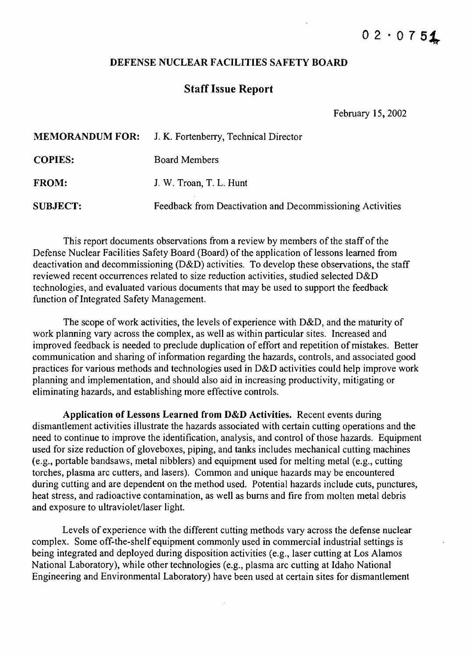#### DEFENSE NUCLEAR FACILITIES SAFETY BOARD

## Staff Issue Report

February 15,2002

|                 | <b>MEMORANDUM FOR:</b> J. K. Fortenberry, Technical Director |
|-----------------|--------------------------------------------------------------|
| <b>COPIES:</b>  | <b>Board Members</b>                                         |
| <b>FROM:</b>    | J. W. Troan, T. L. Hunt                                      |
| <b>SUBJECT:</b> | Feedback from Deactivation and Decommissioning Activities    |

This report documents observations from a review by members of the staff of the Defense Nuclear Facilities Safety Board (Board) of the application of lessons learned from deactivation and decommissioning (D&D) activities. To develop these observations, the staff reviewed recent occurrences related to size reduction activities, studied selected D&D technologies, and evaluated various documents that may be used to support the feedback function of Integrated Safety Management.

The scope of work activities, the levels of experience with D&D, and the maturity of work planning vary across the complex, as well as within particular sites. Increased and improved feedback is needed to preclude duplication of effort and repetition of mistakes. Better communication and sharing of information regarding the hazards, controls, and associated good practices for various methods and technologies used in D&D activities could help improve work planning and implementation, and should also aid in increasing productivity, mitigating or eliminating hazards, and establishing more effective controls.

Application of Lessons Learned from  $D&D$  Activities. Recent events during dismantlement activities illustrate the hazards associated with certain cutting operations and the need to continue to improve the identification, analysis, and control of those hazards. Equipment used for size reduction of gloveboxes, piping, and tanks includes mechanical cutting machines (e.g., portable bandsaws, metal nibblers) and equipment used for melting metal (e.g., cutting torches, plasma arc cutters, and lasers). Common and unique hazards may be encountered during cutting and are dependent on the method used. Potential hazards include cuts, punctures, heat stress, and radioactive contamination, as well as bums and fire from molten metal debris and exposure to ultraviolet/laser light.

Levels of experience with the different cutting methods vary across the defense nuclear complex. Some off-the-shelf equipment commonly used in commercial industrial settings is being integrated and deployed during disposition activities (e.g., laser cutting at Los Alamos National Laboratory), while other technologies (e.g., plasma arc cutting at Idaho National Engineering and Environmental Laboratory) have been used at certain sites for dismantlement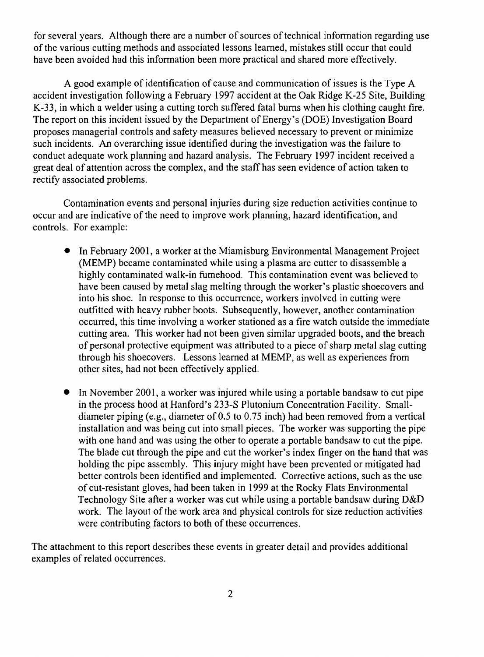for several years. Although there are a number of sources of technical information regarding use of the various cutting methods and associated lessons learned, mistakes still occur that could have been avoided had this information been more practical and shared more effectively.

A good example of identification of cause and communication of issues is the Type A accident investigation following a February 1997 accident at the Oak Ridge K-25 Site, Building K-33, in which a welder using a cutting torch suffered fatal bums when his clothing caught fire. The report on this incident issued by the Department of Energy's (DOE) Investigation Board proposes managerial controls and safety measures believed necessary to prevent or minimize such incidents. An overarching issue identified during the investigation was the failure to conduct adequate work planning and hazard analysis. The February 1997 incident received a great deal of attention across the complex, and the staff has seen evidence of action taken to rectify associated problems.

Contamination events and personal injuries during size reduction activities continue to occur and are indicative of the need to improve work planning, hazard identification, and controls. For example:

- In February 2001, a worker at the Miamisburg Environmental Management Project (MEMP) became contaminated while using a plasma arc cutter to disassemble a highly contaminated walk-in fumehood. This contamination event was believed to have been caused by metal slag melting through the worker's plastic shoecovers and into his shoe. In response to this occurrence, workers involved in cutting were outfitted with heavy rubber boots. Subsequently, however, another contamination occurred, this time involving a worker stationed as a fire watch outside the immediate cutting area. This worker had not been given similar upgraded boots, and the breach of personal protective equipment was attributed to a piece of sharp metal slag cutting through his shoecovers. Lessons learned at MEMP, as well as experiences from other sites, had not been effectively applied.
- In November 2001, a worker was injured while using a portable bandsaw to cut pipe in the process hood at Hanford's 233-S Plutonium Concentration Facility. Smalldiameter piping (e.g., diameter of 0.5 to 0.75 inch) had been removed from a vertical installation and was being cut into small pieces. The worker was supporting the pipe with one hand and was using the other to operate a portable bandsaw to cut the pipe. The blade cut through the pipe and cut the worker's index finger on the hand that was holding the pipe assembly. This injury might have been prevented or mitigated had better controls been identified and implemented. Corrective actions, such as the use of cut-resistant gloves, had been taken in 1999 at the Rocky Flats Environmental Technology Site after a worker was cut while using a portable bandsaw during D&D work. The layout of the work area and physical controls for size reduction activities were contributing factors to both of these occurrences.

The attachment to this report describes these events in greater detail and provides additional examples of related occurrences.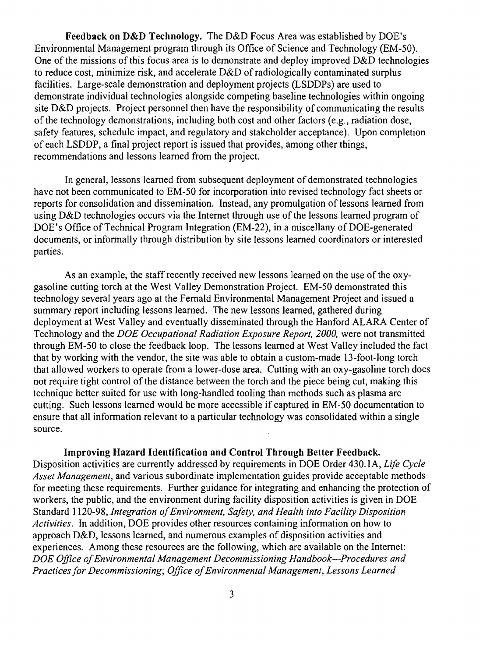Feedback on D&D Technology. The D&D Focus Area was established by DOE's Environmental Management program through its Office of Science and Technology (EM-50). One of the missions of this focus area is to demonstrate and deploy improved  $D&D$  technologies to reduce cost, minimize risk, and accelerate  $D&D$  of radiologically contaminated surplus facilities. Large-scale demonstration and deployment projects (LSDDPs) are used to demonstrate individual technologies alongside competing baseline technologies within ongoing site D&D projects. Project personnel then have the responsibility of communicating the results of the technology demonstrations, including both cost and other factors (e.g., radiation dose, safety features, schedule impact, and regulatory and stakeholder acceptance). Upon completion of each LSDDP, a final project report is issued that provides, among other things, recommendations and lessons learned from the project.

In general, lessons learned from subsequent deployment of demonstrated technologies have not been communicated to EM-50 for incorporation into revised technology fact sheets or reports for consolidation and dissemination. Instead, any promulgation of lessons learned from using D&D technologies occurs via the Internet through use of the lessons learned program of DOE's Office of Technical Program Integration (EM-22), in a miscellany of DOE-generated documents, or informally through distribution by site lessons learned coordinators or interested parties.

As an example, the staff recently received new lessons learned on the use of the oxygasoline cutting torch at the West Valley Demonstration Project. EM-50 demonstrated this technology several years ago at the Fernald Environmental Management Project and issued a summary report including lessons learned. The new lessons learned, gathered during deployment at West Valley and eventually disseminated through the Hanford ALARA Center of Technology and the *DOE Occupational Radiation Exposure Report, 2000,* were not transmitted through EM-50 to close the feedback loop. The lessons learned at West Valley included the fact that by working with the vendor, the site was able to obtain a custom-made 13-foot-long torch that allowed workers to operate from a lower-dose area. Cutting with an oxy-gasoline torch does not require tight control of the distance between the torch and the piece being cut, making this technique better suited for use with long-handled tooling than methods such as plasma arc cutting. Such lessons learned would be more accessible if captured in EM-50 documentation to ensure that all information relevant to a particular technology was consolidated within a single source.

#### Improving Hazard Identification and Control Through Better Feedback.

Disposition activities are currently addressed by requirements in DOE Order 430.1A, *Life Cycle Asset Management,* and various subordinate implementation guides provide acceptable methods for meeting these requirements. Further guidance for integrating and enhancing the protection of workers, the public, and the environment during facility disposition activities is given in DOE Standard 1120-98, *Integration ofEnvironment, Safety, and Health into Facility Disposition Activities.* In addition, DOE provides other resources containing information on how to approach D&D, lessons learned, and numerous examples of disposition activities and experiences. Among these resources are the following, which are available on the Internet: *DOE Office ofEnvironmental Management Decommissioning Handbook-Procedures and Practicesfor Decommissioning; Office ofEnvironmental Management, Lessons Learned*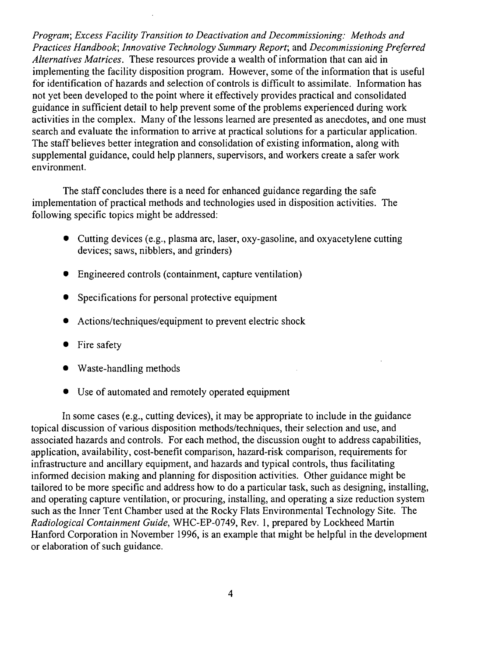*Program; Excess Facility Transition to Deactivation and Decommissioning: Methods and Practices Handbook; Innovative Technology Summary Report;* and *Decommissioning Preferred Alternatives Matrices.* These resources provide a wealth ofinformation that can aid in implementing the facility disposition program. However, some of the information that is useful for identification of hazards and selection of controls is difficult to assimilate. Information has not yet been developed to the point where it effectively provides practical and consolidated guidance in sufficient detail to help prevent some of the problems experienced during work activities in the complex. Many of the lessons learned are presented as anecdotes, and one must search and evaluate the information to arrive at practical solutions for a particular application. The staff believes better integration and consolidation of existing information, along with supplemental guidance, could help planners, supervisors, and workers create a safer work environment.

The staff concludes there is a need for enhanced guidance regarding the safe implementation of practical methods and technologies used in disposition activities. The following specific topics might be addressed:

- Cutting devices (e.g., plasma arc, laser, oxy-gasoline, and oxyacetylene cutting devices; saws, nibblers, and grinders)
- Engineered controls (containment, capture ventilation)
- Specifications for personal protective equipment
- Actions/techniques/equipment to prevent electric shock
- Fire safety
- Waste-handling methods
- Use of automated and remotely operated equipment

In some cases (e.g., cutting devices), it may be appropriate to include in the guidance topical discussion of various disposition methods/techniques, their selection and use, and associated hazards and controls. For each method, the discussion ought to address capabilities, application, availability, cost-benefit comparison, hazard-risk comparison, requirements for infrastructure and ancillary equipment, and hazards and typical controls, thus facilitating informed decision making and planning for disposition activities. Other guidance might be tailored to be more specific and address how to do a particular task, such as designing, installing, and operating capture ventilation, or procuring, installing, and operating a size reduction system such as the Inner Tent Chamber used at the Rocky Flats Environmental Technology Site. The *Radiological Containment Guide,* WHC-EP-0749, Rev. 1, prepared by Lockheed Martin Hanford Corporation in November 1996, is an example that might be helpful in the development or elaboration of such guidance.